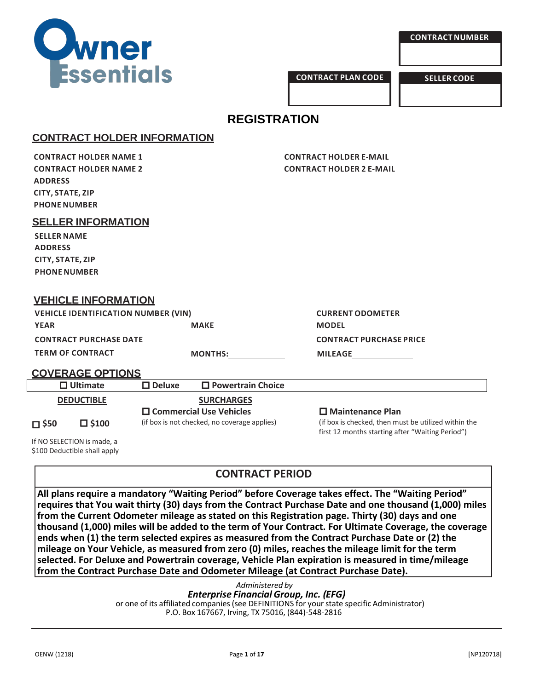

**CONTRACT PLAN CODE SELLER CODE**

# **REGISTRATION**

# **CONTRACT HOLDER INFORMATION**

**CONTRACT HOLDER NAME 1 CONTRACT HOLDER E-MAIL ADDRESS CITY, STATE, ZIP PHONENUMBER**

**CONTRACT HOLDER NAME 2 CONTRACT HOLDER 2 E-MAIL**

**SELLER INFORMATION**

**SELLER NAME ADDRESS CITY, STATE, ZIP PHONENUMBER**

# **VEHICLE INFORMATION**

**VEHICLE IDENTIFICATION NUMBER (VIN) CURRENT ODOMETER YEAR MAKE MODEL CONTRACT PURCHASE DATE CONTRACT PURCHASE PRICE TERM OF CONTRACT MONTHS: MILEAGE**

# **COVERAGE OPTIONS**

|                   | $\Box$ Ultimate | $\Box$ Deluxe                                | $\Box$ Powertrain Choice |                                                      |
|-------------------|-----------------|----------------------------------------------|--------------------------|------------------------------------------------------|
| <b>DEDUCTIBLE</b> |                 | <b>SURCHARGES</b>                            |                          |                                                      |
|                   | $\square$ \$100 | $\square$ Commercial Use Vehicles            |                          | $\Box$ Maintenance Plan                              |
| $\Box$ \$50       |                 | (if box is not checked, no coverage applies) |                          | (if box is checked, then must be utilized within the |
|                   |                 |                                              |                          | first 12 months starting after "Waiting Period")     |

If NO SELECTION is made, a \$100 Deductible shall apply

# **CONTRACT PERIOD**

**All plans require a mandatory "Waiting Period" before Coverage takes effect. The "Waiting Period" requires that You wait thirty (30) days from the Contract Purchase Date and one thousand (1,000) miles from the Current Odometer mileage as stated on this Registration page. Thirty (30) days and one thousand (1,000) miles will be added to the term of Your Contract. For Ultimate Coverage, the coverage ends when (1) the term selected expires as measured from the Contract Purchase Date or (2) the mileage on Your Vehicle, as measured from zero (0) miles, reaches the mileage limit for the term selected. For Deluxe and Powertrain coverage, Vehicle Plan expiration is measured in time/mileage from the Contract Purchase Date and Odometer Mileage (at Contract Purchase Date).**

> *Administered by Enterprise Financial Group, Inc. (EFG)* or one of its affiliated companies (see DEFINITIONS for your state specific Administrator) P.O. Box 167667, Irving, TX 75016, (844)-548-2816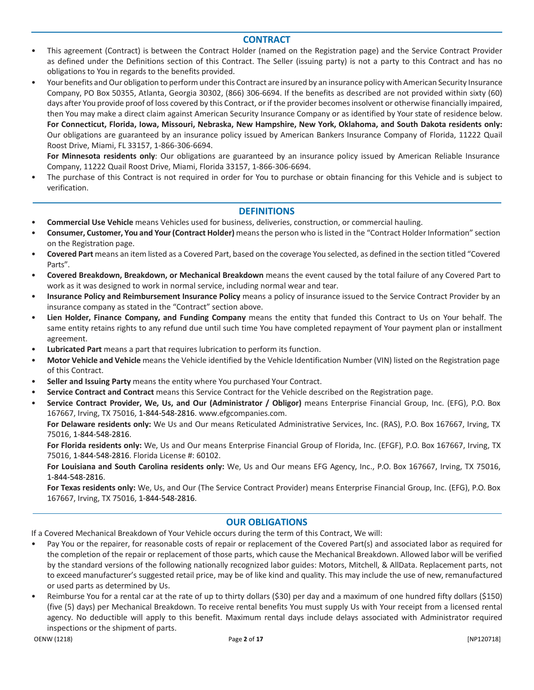## **CONTRACT**

- This agreement (Contract) is between the Contract Holder (named on the Registration page) and the Service Contract Provider as defined under the Definitions section of this Contract. The Seller (issuing party) is not a party to this Contract and has no obligations to You in regards to the benefits provided.
- Your benefits and Our obligation to perform underthis Contract are insured by an insurance policy with American Security Insurance Company, PO Box 50355, Atlanta, Georgia 30302, (866) 306-6694. If the benefits as described are not provided within sixty (60) days after You provide proof of loss covered by this Contract, or if the provider becomesinsolvent or otherwise financially impaired, then You may make a direct claim against American Security Insurance Company or as identified by Your state of residence below. For Connecticut, Florida, Iowa, Missouri, Nebraska, New Hampshire, New York, Oklahoma, and South Dakota residents only: Our obligations are guaranteed by an insurance policy issued by American Bankers Insurance Company of Florida, 11222 Quail Roost Drive, Miami, FL 33157, 1-866-306-6694.

**For Minnesota residents only**: Our obligations are guaranteed by an insurance policy issued by American Reliable Insurance Company, 11222 Quail Roost Drive, Miami, Florida 33157, 1-866-306-6694.

• The purchase of this Contract is not required in order for You to purchase or obtain financing for this Vehicle and is subject to verification.

### **DEFINITIONS**

- **Commercial Use Vehicle** means Vehicles used for business, deliveries, construction, or commercial hauling.
- **Consumer, Customer, You and Your(Contract Holder)** meansthe person who islisted in the "Contract Holder Information" section on the Registration page.
- **Covered Part** means an item listed as a Covered Part, based on the coverage You selected, as defined in the section titled "Covered Parts".
- **Covered Breakdown, Breakdown, or Mechanical Breakdown** means the event caused by the total failure of any Covered Part to work as it was designed to work in normal service, including normal wear and tear.
- **Insurance Policy and Reimbursement Insurance Policy** means a policy of insurance issued to the Service Contract Provider by an insurance company as stated in the "Contract" section above.
- **Lien Holder, Finance Company, and Funding Company** means the entity that funded this Contract to Us on Your behalf. The same entity retains rights to any refund due until such time You have completed repayment of Your payment plan or installment agreement.
- **Lubricated Part** means a part that requires lubrication to perform its function.
- **Motor Vehicle and Vehicle** means the Vehicle identified by the Vehicle Identification Number (VIN) listed on the Registration page of this Contract.
- **Seller and Issuing Party** means the entity where You purchased Your Contract.
- **Service Contract and Contract** means this Service Contract for the Vehicle described on the Registration page.
- **Service Contract Provider, We, Us, and Our (Administrator / Obligor)** means Enterprise Financial Group, Inc. (EFG), P.O. Box 167667, Irving, TX 75016, 1-844-548-2816. [www.efgcompanies.com.](http://www.efgcompanies.com/)

**For Delaware residents only:** We Us and Our means Reticulated Administrative Services, Inc. (RAS), P.O. Box 167667, Irving, TX 75016, 1-844-548-2816.

**For Florida residents only:** We, Us and Our means Enterprise Financial Group of Florida, Inc. (EFGF), P.O. Box 167667, Irving, TX 75016, 1-844-548-2816. Florida License #: 60102.

**For Louisiana and South Carolina residents only:** We, Us and Our means EFG Agency, Inc., P.O. Box 167667, Irving, TX 75016, 1-844-548-2816.

**For Texas residents only:** We, Us, and Our (The Service Contract Provider) means Enterprise Financial Group, Inc. (EFG), P.O. Box 167667, Irving, TX 75016, 1-844-548-2816.

# **OUR OBLIGATIONS**

If a Covered Mechanical Breakdown of Your Vehicle occurs during the term of this Contract, We will:

- Pay You or the repairer, for reasonable costs of repair or replacement of the Covered Part(s) and associated labor as required for the completion of the repair or replacement of those parts, which cause the Mechanical Breakdown. Allowed labor will be verified by the standard versions of the following nationally recognized labor guides: Motors, Mitchell, & AllData. Replacement parts, not to exceed manufacturer's suggested retail price, may be of like kind and quality. This may include the use of new, remanufactured or used parts as determined by Us.
- Reimburse You for a rental car at the rate of up to thirty dollars (\$30) per day and a maximum of one hundred fifty dollars (\$150) (five (5) days) per Mechanical Breakdown. To receive rental benefits You must supply Us with Your receipt from a licensed rental agency. No deductible will apply to this benefit. Maximum rental days include delays associated with Administrator required inspections or the shipment of parts.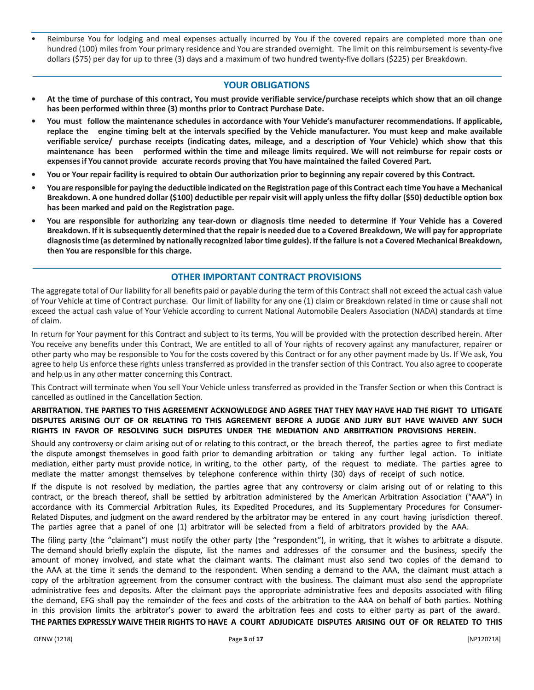Reimburse You for lodging and meal expenses actually incurred by You if the covered repairs are completed more than one hundred (100) miles from Your primary residence and You are stranded overnight. The limit on this reimbursement is seventy-five dollars (\$75) per day for up to three (3) days and a maximum of two hundred twenty-five dollars (\$225) per Breakdown.

## **YOUR OBLIGATIONS**

- **• At the time of purchase of this contract, You must provide verifiable service/purchase receipts which show that an oil change has been performed within three (3) months prior to Contract Purchase Date.**
- You must follow the maintenance schedules in accordance with Your Vehicle's manufacturer recommendations. If applicable, **replace the engine timing belt at the intervals specified by the Vehicle manufacturer. You must keep and make available** verifiable service/ purchase receipts (indicating dates, mileage, and a description of Your Vehicle) which show that this maintenance has been performed within the time and mileage limits required. We will not reimburse for repair costs or **expensesif You cannot provide accurate records proving that You have maintained the failed Covered Part.**
- You or Your repair facility is required to obtain Our authorization prior to beginning any repair covered by this Contract.
- You are responsible for paying the deductible indicated on the Registration page of this Contract each time You have a Mechanical Breakdown. A one hundred dollar (\$100) deductible per repair visit will apply unless the fifty dollar (\$50) deductible option box **has been marked and paid on the Registration page.**
- You are responsible for authorizing any tear-down or diagnosis time needed to determine if Your Vehicle has a Covered Breakdown. If it is subsequently determined that the repair is needed due to a Covered Breakdown, We will pay for appropriate diagnosis time (as determined by nationally recognized labor time guides). If the failure is not a Covered Mechanical Breakdown, **then You are responsible for this charge.**

### **OTHER IMPORTANT CONTRACT PROVISIONS**

The aggregate total of Our liability for all benefits paid or payable during the term of this Contract shall not exceed the actual cash value of Your Vehicle at time of Contract purchase. Our limit of liability for any one (1) claim or Breakdown related in time or cause shall not exceed the actual cash value of Your Vehicle according to current National Automobile Dealers Association (NADA) standards at time of claim.

In return for Your payment for this Contract and subject to its terms, You will be provided with the protection described herein. After You receive any benefits under this Contract, We are entitled to all of Your rights of recovery against any manufacturer, repairer or other party who may be responsible to You for the costs covered by this Contract or for any other payment made by Us. If We ask, You agree to help Us enforce these rights unless transferred as provided in the transfer section of this Contract. You also agree to cooperate and help us in any other matter concerning this Contract.

This Contract will terminate when You sell Your Vehicle unless transferred as provided in the Transfer Section or when this Contract is cancelled as outlined in the Cancellation Section.

#### ARBITRATION. THE PARTIES TO THIS AGREEMENT ACKNOWLEDGE AND AGREE THAT THEY MAY HAVE HAD THE RIGHT TO LITIGATE DISPUTES ARISING OUT OF OR RELATING TO THIS AGREEMENT BEFORE A JUDGE AND JURY BUT HAVE WAIVED ANY SUCH **RIGHTS IN FAVOR OF RESOLVING SUCH DISPUTES UNDER THE MEDIATION AND ARBITRATION PROVISIONS HEREIN.**

Should any controversy or claim arising out of or relating to this contract, or the breach thereof, the parties agree to first mediate the dispute amongst themselves in good faith prior to demanding arbitration or taking any further legal action. To initiate mediation, either party must provide notice, in writing, to the other party, of the request to mediate. The parties agree to mediate the matter amongst themselves by telephone conference within thirty (30) days of receipt of such notice.

If the dispute is not resolved by mediation, the parties agree that any controversy or claim arising out of or relating to this contract, or the breach thereof, shall be settled by arbitration administered by the American Arbitration Association ("AAA") in accordance with its Commercial Arbitration Rules, its Expedited Procedures, and its Supplementary Procedures for Consumer-Related Disputes, and judgment on the award rendered by the arbitrator may be entered in any court having jurisdiction thereof. The parties agree that a panel of one (1) arbitrator will be selected from a field of arbitrators provided by the AAA.

The filing party (the "claimant") must notify the other party (the "respondent"), in writing, that it wishes to arbitrate a dispute. The demand should briefly explain the dispute, list the names and addresses of the consumer and the business, specify the amount of money involved, and state what the claimant wants. The claimant must also send two copies of the demand to the AAA at the time it sends the demand to the respondent. When sending a demand to the AAA, the claimant must attach a copy of the arbitration agreement from the consumer contract with the business. The claimant must also send the appropriate administrative fees and deposits. After the claimant pays the appropriate administrative fees and deposits associated with filing the demand, EFG shall pay the remainder of the fees and costs of the arbitration to the AAA on behalf of both parties. Nothing in this provision limits the arbitrator's power to award the arbitration fees and costs to either party as part of the award.

**THE PARTIES EXPRESSLY WAIVE THEIR RIGHTS TO HAVE A COURT ADJUDICATE DISPUTES ARISING OUT OF OR RELATED TO THIS**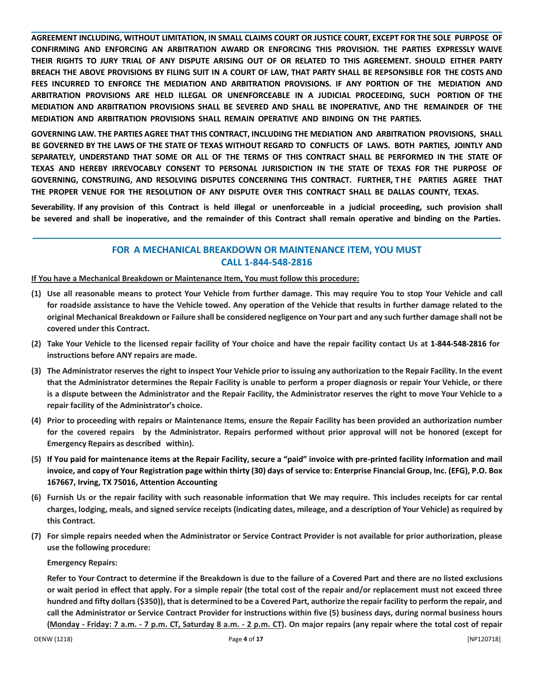AGREEMENT INCLUDING, WITHOUT LIMITATION, IN SMALL CLAIMS COURT OR JUSTICE COURT, EXCEPT FOR THE SOLE PURPOSE OF **CONFIRMING AND ENFORCING AN ARBITRATION AWARD OR ENFORCING THIS PROVISION. THE PARTIES EXPRESSLY WAIVE** THEIR RIGHTS TO JURY TRIAL OF ANY DISPUTE ARISING OUT OF OR RELATED TO THIS AGREEMENT. SHOULD EITHER PARTY BREACH THE ABOVE PROVISIONS BY FILING SUIT IN A COURT OF LAW, THAT PARTY SHALL BE REPSONSIBLE FOR THE COSTS AND **FEES INCURRED TO ENFORCE THE MEDIATION AND ARBITRATION PROVISIONS. IF ANY PORTION OF THE MEDIATION AND ARBITRATION PROVISIONS ARE HELD ILLEGAL OR UNENFORCEABLE IN A JUDICIAL PROCEEDING, SUCH PORTION OF THE MEDIATION AND ARBITRATION PROVISIONS SHALL BE SEVERED AND SHALL BE INOPERATIVE, AND THE REMAINDER OF THE MEDIATION AND ARBITRATION PROVISIONS SHALL REMAIN OPERATIVE AND BINDING ON THE PARTIES.**

**GOVERNING LAW. THE PARTIES AGREE THAT THIS CONTRACT, INCLUDING THE MEDIATION AND ARBITRATION PROVISIONS, SHALL** BE GOVERNED BY THE LAWS OF THE STATE OF TEXAS WITHOUT REGARD TO CONFLICTS OF LAWS. BOTH PARTIES, JOINTLY AND SEPARATELY, UNDERSTAND THAT SOME OR ALL OF THE TERMS OF THIS CONTRACT SHALL BE PERFORMED IN THE STATE OF **TEXAS AND HEREBY IRREVOCABLY CONSENT TO PERSONAL JURISDICTION IN THE STATE OF TEXAS FOR THE PURPOSE OF GOVERNING, CONSTRUING, AND RESOLVING DISPUTES CONCERNING THIS CONTRACT. FURTHER, T H E PARTIES AGREE THAT THE PROPER VENUE FOR THE RESOLUTION OF ANY DISPUTE OVER THIS CONTRACT SHALL BE DALLAS COUNTY, TEXAS.**

**Severability. If any provision of this Contract is held illegal or unenforceable in a judicial proceeding, such provision shall** be severed and shall be inoperative, and the remainder of this Contract shall remain operative and binding on the Parties.

# **FOR A MECHANICAL BREAKDOWN OR MAINTENANCE ITEM, YOU MUST CALL 1-844-548-2816**

### **If You have a Mechanical Breakdown or Maintenance Item, You must follow this procedure:**

- (1) Use all reasonable means to protect Your Vehicle from further damage. This may require You to stop Your Vehicle and call for roadside assistance to have the Vehicle towed. Any operation of the Vehicle that results in further damage related to the original Mechanical Breakdown or Failure shall be considered negligence on Your part and any such further damage shall not be **covered under this Contract.**
- (2) Take Your Vehicle to the licensed repair facility of Your choice and have the repair facility contact Us at 1-844-548-2816 for **instructions before ANY repairs are made.**
- (3) The Administrator reserves the right to inspect Your Vehicle prior to issuing any authorization to the Repair Facility. In the event that the Administrator determines the Repair Facility is unable to perform a proper diagnosis or repair Your Vehicle, or there is a dispute between the Administrator and the Repair Facility, the Administrator reserves the right to move Your Vehicle to a **repair facility of the Administrator's choice.**
- **(4) Prior to proceeding with repairs or Maintenance Items, ensure the Repair Facility has been provided an authorization number** for the covered repairs by the Administrator. Repairs performed without prior approval will not be honored (except for **Emergency Repairs as described within).**
- **(5) If You paid for maintenance items at the Repair Facility, secure a "paid" invoice with pre-printed facility information and mail invoice, and copy of Your Registration page within thirty (30) days of service to: Enterprise Financial Group, Inc. (EFG), P.O. Box 167667, Irving, TX 75016, Attention Accounting**
- (6) Furnish Us or the repair facility with such reasonable information that We may require. This includes receipts for car rental charges, lodging, meals, and signed service receipts (indicating dates, mileage, and a description of Your Vehicle) as required by **this Contract.**
- (7) For simple repairs needed when the Administrator or Service Contract Provider is not available for prior authorization, please **use the following procedure:**

### **Emergency Repairs:**

Refer to Your Contract to determine if the Breakdown is due to the failure of a Covered Part and there are no listed exclusions or wait period in effect that apply. For a simple repair (the total cost of the repair and/or replacement must not exceed three hundred and fifty dollars (\$350)), that is determined to be a Covered Part, authorize the repair facility to perform the repair, and call the Administrator or Service Contract Provider for instructions within five (5) business days, during normal business hours (Monday - Friday: 7 a.m. - 7 p.m. CT, Saturday 8 a.m. - 2 p.m. CT). On major repairs (any repair where the total cost of repair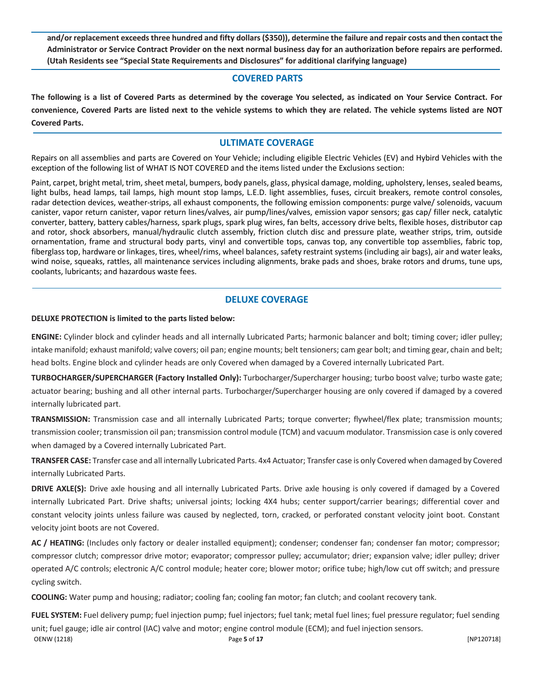and/or replacement exceeds three hundred and fifty dollars (\$350)), determine the failure and repair costs and then contact the Administrator or Service Contract Provider on the next normal business day for an authorization before repairs are performed. **(Utah Residents see "Special State Requirements and Disclosures" for additional clarifying language)**

### **COVERED PARTS**

The following is a list of Covered Parts as determined by the coverage You selected, as indicated on Your Service Contract. For convenience, Covered Parts are listed next to the vehicle systems to which they are related. The vehicle systems listed are NOT **Covered Parts.**

# **ULTIMATE COVERAGE**

Repairs on all assemblies and parts are Covered on Your Vehicle; including eligible Electric Vehicles (EV) and Hybird Vehicles with the exception of the following list of WHAT IS NOT COVERED and the items listed under the Exclusions section:

Paint, carpet, bright metal, trim, sheet metal, bumpers, body panels, glass, physical damage, molding, upholstery, lenses, sealed beams, light bulbs, head lamps, tail lamps, high mount stop lamps, L.E.D. light assemblies, fuses, circuit breakers, remote control consoles, radar detection devices, weather-strips, all exhaust components, the following emission components: purge valve/ solenoids, vacuum canister, vapor return canister, vapor return lines/valves, air pump/lines/valves, emission vapor sensors; gas cap/ filler neck, catalytic converter, battery, battery cables/harness, spark plugs, spark plug wires, fan belts, accessory drive belts, flexible hoses, distributor cap and rotor, shock absorbers, manual/hydraulic clutch assembly, friction clutch disc and pressure plate, weather strips, trim, outside ornamentation, frame and structural body parts, vinyl and convertible tops, canvas top, any convertible top assemblies, fabric top, fiberglass top, hardware or linkages, tires, wheel/rims, wheel balances, safety restraint systems (including air bags), air and water leaks, wind noise, squeaks, rattles, all maintenance services including alignments, brake pads and shoes, brake rotors and drums, tune ups, coolants, lubricants; and hazardous waste fees.

# **DELUXE COVERAGE**

#### **DELUXE PROTECTION is limited to the parts listed below:**

**ENGINE:** Cylinder block and cylinder heads and all internally Lubricated Parts; harmonic balancer and bolt; timing cover; idler pulley; intake manifold; exhaust manifold; valve covers; oil pan; engine mounts; belt tensioners; cam gear bolt; and timing gear, chain and belt; head bolts. Engine block and cylinder heads are only Covered when damaged by a Covered internally Lubricated Part.

**TURBOCHARGER/SUPERCHARGER (Factory Installed Only):** Turbocharger/Supercharger housing; turbo boost valve; turbo waste gate; actuator bearing; bushing and all other internal parts. Turbocharger/Supercharger housing are only covered if damaged by a covered internally lubricated part.

**TRANSMISSION:** Transmission case and all internally Lubricated Parts; torque converter; flywheel/flex plate; transmission mounts; transmission cooler; transmission oil pan; transmission control module (TCM) and vacuum modulator. Transmission case is only covered when damaged by a Covered internally Lubricated Part.

**TRANSFER CASE:** Transfer case and all internally Lubricated Parts. 4x4 Actuator; Transfer case is only Covered when damaged by Covered internally Lubricated Parts.

**DRIVE AXLE(S):** Drive axle housing and all internally Lubricated Parts. Drive axle housing is only covered if damaged by a Covered internally Lubricated Part. Drive shafts; universal joints; locking 4X4 hubs; center support/carrier bearings; differential cover and constant velocity joints unless failure was caused by neglected, torn, cracked, or perforated constant velocity joint boot. Constant velocity joint boots are not Covered.

**AC / HEATING:** (Includes only factory or dealer installed equipment); condenser; condenser fan; condenser fan motor; compressor; compressor clutch; compressor drive motor; evaporator; compressor pulley; accumulator; drier; expansion valve; idler pulley; driver operated A/C controls; electronic A/C control module; heater core; blower motor; orifice tube; high/low cut off switch; and pressure cycling switch.

**COOLING:** Water pump and housing; radiator; cooling fan; cooling fan motor; fan clutch; and coolant recovery tank.

OENW (1218) Page **5** of **17** [NP120718] **FUEL SYSTEM:** Fuel delivery pump; fuel injection pump; fuel injectors; fuel tank; metal fuel lines; fuel pressure regulator; fuel sending unit; fuel gauge; idle air control (IAC) valve and motor; engine control module (ECM); and fuel injection sensors.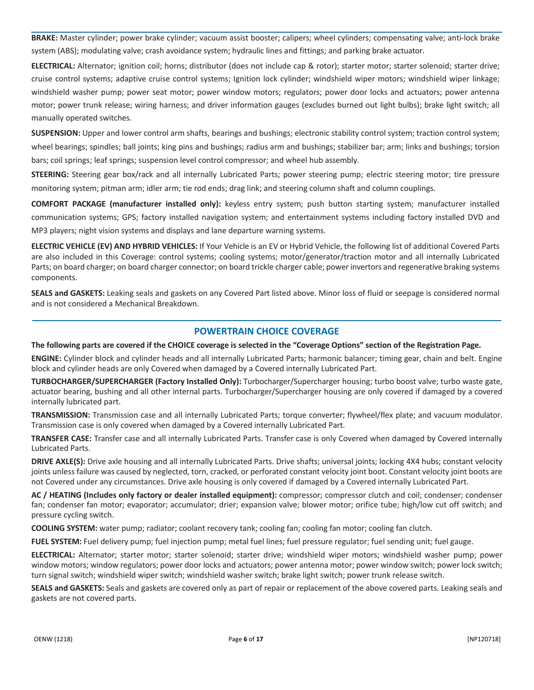**BRAKE:** Master cylinder; power brake cylinder; vacuum assist booster; calipers; wheel cylinders; compensating valve; anti-lock brake system (ABS); modulating valve; crash avoidance system; hydraulic lines and fittings; and parking brake actuator.

**ELECTRICAL:** Alternator; ignition coil; horns; distributor (does not include cap & rotor); starter motor; starter solenoid; starter drive; cruise control systems; adaptive cruise control systems; Ignition lock cylinder; windshield wiper motors; windshield wiper linkage; windshield washer pump; power seat motor; power window motors; regulators; power door locks and actuators; power antenna motor; power trunk release; wiring harness; and driver information gauges (excludes burned out light bulbs); brake light switch; all manually operated switches.

**SUSPENSION:** Upper and lower control arm shafts, bearings and bushings; electronic stability control system; traction control system; wheel bearings; spindles; ball joints; king pins and bushings; radius arm and bushings; stabilizer bar; arm; links and bushings; torsion bars; coil springs; leaf springs; suspension level control compressor; and wheel hub assembly.

**STEERING:** Steering gear box/rack and all internally Lubricated Parts; power steering pump; electric steering motor; tire pressure monitoring system; pitman arm; idler arm; tie rod ends; drag link; and steering column shaft and column couplings.

**COMFORT PACKAGE (manufacturer installed only):** keyless entry system; push button starting system; manufacturer installed communication systems; GPS; factory installed navigation system; and entertainment systems including factory installed DVD and MP3 players; night vision systems and displays and lane departure warning systems.

**ELECTRIC VEHICLE (EV) AND HYBRID VEHICLES:** If Your Vehicle is an EV or Hybrid Vehicle, the following list of additional Covered Parts are also included in this Coverage: control systems; cooling systems; motor/generator/traction motor and all internally Lubricated Parts; on board charger; on board charger connector; on board trickle charger cable; power invertors and regenerative braking systems components.

**SEALS and GASKETS:** Leaking seals and gaskets on any Covered Part listed above. Minor loss of fluid or seepage is considered normal and is not considered a Mechanical Breakdown.

## **POWERTRAIN CHOICE COVERAGE**

The following parts are covered if the CHOICE coverage is selected in the "Coverage Options" section of the Registration Page.

**ENGINE:** Cylinder block and cylinder heads and all internally Lubricated Parts; harmonic balancer; timing gear, chain and belt. Engine block and cylinder heads are only Covered when damaged by a Covered internally Lubricated Part.

**TURBOCHARGER/SUPERCHARGER (Factory Installed Only):** Turbocharger/Supercharger housing; turbo boost valve; turbo waste gate, actuator bearing, bushing and all other internal parts. Turbocharger/Supercharger housing are only covered if damaged by a covered internally lubricated part.

**TRANSMISSION:** Transmission case and all internally Lubricated Parts; torque converter; flywheel/flex plate; and vacuum modulator. Transmission case is only covered when damaged by a Covered internally Lubricated Part.

**TRANSFER CASE:** Transfer case and all internally Lubricated Parts. Transfer case is only Covered when damaged by Covered internally Lubricated Parts.

**DRIVE AXLE(S):** Drive axle housing and all internally Lubricated Parts. Drive shafts; universal joints; locking 4X4 hubs; constant velocity joints unless failure was caused by neglected, torn, cracked, or perforated constant velocity joint boot. Constant velocity joint boots are not Covered under any circumstances. Drive axle housing is only covered if damaged by a Covered internally Lubricated Part.

**AC / HEATING (Includes only factory or dealer installed equipment):** compressor; compressor clutch and coil; condenser; condenser fan; condenser fan motor; evaporator; accumulator; drier; expansion valve; blower motor; orifice tube; high/low cut off switch; and pressure cycling switch.

**COOLING SYSTEM:** water pump; radiator; coolant recovery tank; cooling fan; cooling fan motor; cooling fan clutch.

**FUEL SYSTEM:** Fuel delivery pump; fuel injection pump; metal fuel lines; fuel pressure regulator; fuel sending unit; fuel gauge.

**ELECTRICAL:** Alternator; starter motor; starter solenoid; starter drive; windshield wiper motors; windshield washer pump; power window motors; window regulators; power door locks and actuators; power antenna motor; power window switch; power lock switch; turn signal switch; windshield wiper switch; windshield washer switch; brake light switch; power trunk release switch.

**SEALS and GASKETS:** Seals and gaskets are covered only as part of repair or replacement of the above covered parts. Leaking seals and gaskets are not covered parts.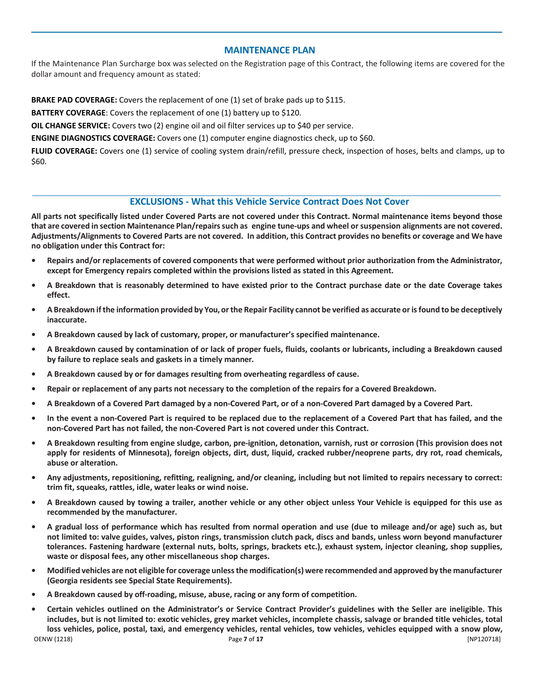# **MAINTENANCE PLAN**

If the Maintenance Plan Surcharge box was selected on the Registration page of this Contract, the following items are covered for the dollar amount and frequency amount as stated:

**BRAKE PAD COVERAGE:** Covers the replacement of one (1) set of brake pads up to \$115.

**BATTERY COVERAGE**: Covers the replacement of one (1) battery up to \$120.

**OIL CHANGE SERVICE:** Covers two (2) engine oil and oil filter services up to \$40 per service.

**ENGINE DIAGNOSTICS COVERAGE:** Covers one (1) computer engine diagnostics check, up to \$60.

**FLUID COVERAGE:** Covers one (1) service of cooling system drain/refill, pressure check, inspection of hoses, belts and clamps, up to \$60.

# **EXCLUSIONS - What this Vehicle Service Contract Does Not Cover**

All parts not specifically listed under Covered Parts are not covered under this Contract. Normal maintenance items beyond those **that are covered in section Maintenance Plan/repairssuch as engine tune-ups and wheel orsuspension alignments are not covered.** Adjustments/Alignments to Covered Parts are not covered. In addition, this Contract provides no benefits or coverage and We have **no obligation under this Contract for:**

- Repairs and/or replacements of covered components that were performed without prior authorization from the Administrator, **except for Emergency repairs completed within the provisions listed as stated in this Agreement.**
- A Breakdown that is reasonably determined to have existed prior to the Contract purchase date or the date Coverage takes **effect.**
- A Breakdown if the information provided by You, or the Repair Facility cannot be verified as accurate or is found to be deceptively **inaccurate.**
- **• A Breakdown caused by lack of customary, proper, or manufacturer's specified maintenance.**
- A Breakdown caused by contamination of or lack of proper fuels, fluids, coolants or lubricants, including a Breakdown caused **by failure to replace seals and gaskets in a timely manner.**
- **• A Breakdown caused by or for damages resulting from overheating regardless of cause.**
- **• Repair or replacement of any parts not necessary to the completion of the repairs for a Covered Breakdown.**
- **• A Breakdown of a Covered Part damaged by a non-Covered Part, or of a non-Covered Part damaged by a Covered Part.**
- In the event a non-Covered Part is required to be replaced due to the replacement of a Covered Part that has failed, and the **non-Covered Part has not failed, the non-Covered Part is not covered under this Contract.**
- A Breakdown resulting from engine sludge, carbon, pre-ignition, detonation, varnish, rust or corrosion (This provision does not apply for residents of Minnesota), foreign objects, dirt, dust, liquid, cracked rubber/neoprene parts, dry rot, road chemicals, **abuse or alteration.**
- **• Any adjustments, repositioning, refitting, realigning, and/or cleaning, including but not limited to repairs necessary to correct: trim fit, squeaks, rattles, idle, water leaks or wind noise.**
- A Breakdown caused by towing a trailer, another vehicle or any other object unless Your Vehicle is equipped for this use as **recommended by the manufacturer.**
- A gradual loss of performance which has resulted from normal operation and use (due to mileage and/or age) such as, but not limited to: valve guides, valves, piston rings, transmission clutch pack, discs and bands, unless worn beyond manufacturer tolerances. Fastening hardware (external nuts, bolts, springs, brackets etc.), exhaust system, injector cleaning, shop supplies, **waste or disposal fees, any other miscellaneous shop charges.**
- Modified vehicles are not eligible for coverage unless the modification(s) were recommended and approved by the manufacturer **(Georgia residents see Special State Requirements).**
- **• A Breakdown caused by off-roading, misuse, abuse, racing or any form of competition.**
- OENW (1218) Page **7** of **17** [NP120718] Certain vehicles outlined on the Administrator's or Service Contract Provider's guidelines with the Seller are ineligible. This includes, but is not limited to: exotic vehicles, grey market vehicles, incomplete chassis, salvage or branded title vehicles, total loss vehicles, police, postal, taxi, and emergency vehicles, rental vehicles, tow vehicles, vehicles equipped with a snow plow,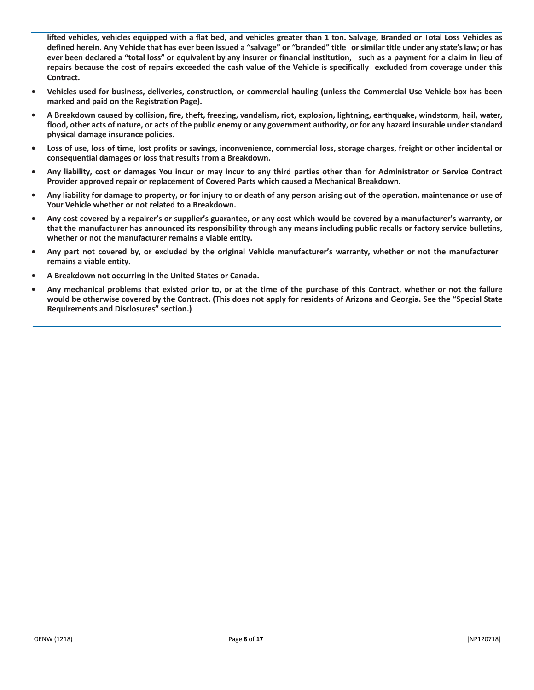lifted vehicles, vehicles equipped with a flat bed, and vehicles greater than 1 ton. Salvage, Branded or Total Loss Vehicles as defined herein. Any Vehicle that has ever been issued a "salvage" or "branded" title or similar title under any state's law; or has ever been declared a "total loss" or equivalent by any insurer or financial institution, such as a payment for a claim in lieu of **repairs because the cost of repairs exceeded the cash value of the Vehicle is specifically excluded from coverage under this Contract.**

- Vehicles used for business, deliveries, construction, or commercial hauling (unless the Commercial Use Vehicle box has been **marked and paid on the Registration Page).**
- A Breakdown caused by collision, fire, theft, freezing, vandalism, riot, explosion, lightning, earthquake, windstorm, hail, water, flood, other acts of nature, or acts of the public enemy or any government authority, or for any hazard insurable under standard **physical damage insurance policies.**
- Loss of use, loss of time, lost profits or savings, inconvenience, commercial loss, storage charges, freight or other incidental or **consequential damages or loss that results from a Breakdown.**
- Any liability, cost or damages You incur or may incur to any third parties other than for Administrator or Service Contract **Provider approved repair or replacement of Covered Parts which caused a Mechanical Breakdown.**
- Any liability for damage to property, or for injury to or death of any person arising out of the operation, maintenance or use of **Your Vehicle whether or not related to a Breakdown.**
- Any cost covered by a repairer's or supplier's guarantee, or any cost which would be covered by a manufacturer's warranty, or that the manufacturer has announced its responsibility through any means including public recalls or factory service bulletins, **whether or not the manufacturer remains a viable entity.**
- Any part not covered by, or excluded by the original Vehicle manufacturer's warranty, whether or not the manufacturer **remains a viable entity.**
- **• A Breakdown not occurring in the United States or Canada.**
- Any mechanical problems that existed prior to, or at the time of the purchase of this Contract, whether or not the failure would be otherwise covered by the Contract. (This does not apply for residents of Arizona and Georgia. See the "Special State **Requirements and Disclosures" section.)**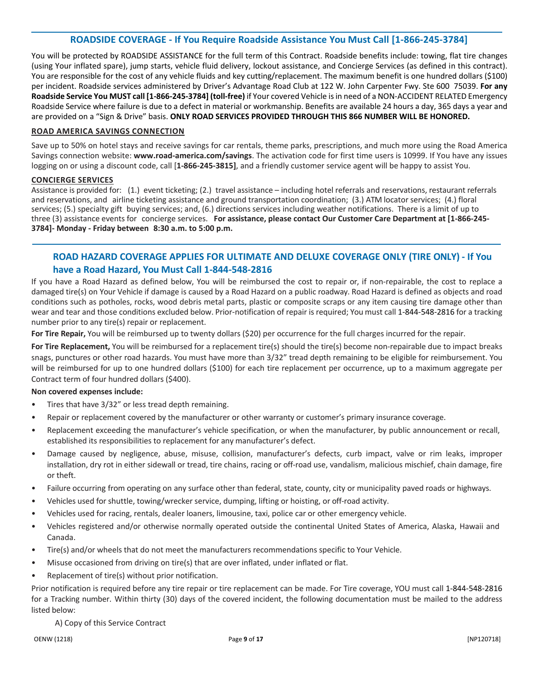# **ROADSIDE COVERAGE - If You Require Roadside Assistance You Must Call [1-866-245-3784]**

You will be protected by ROADSIDE ASSISTANCE for the full term of this Contract. Roadside benefits include: towing, flat tire changes (using Your inflated spare), jump starts, vehicle fluid delivery, lockout assistance, and Concierge Services (as defined in this contract). You are responsible for the cost of any vehicle fluids and key cutting/replacement. The maximum benefit is one hundred dollars (\$100) per incident. Roadside services administered by Driver's Advantage Road Club at 122 W. John Carpenter Fwy. Ste 600 75039. **For any Roadside Service You MUST call [1-866-245-3784] (toll-free)** if Your covered Vehicle is in need of a NON-ACCIDENT RELATED Emergency Roadside Service where failure is due to a defect in material or workmanship. Benefits are available 24 hours a day, 365 days a year and are provided on a "Sign & Drive" basis. **ONLY ROAD SERVICES PROVIDED THROUGH THIS 866 NUMBER WILL BE HONORED.** 

#### **ROAD AMERICA SAVINGS CONNECTION**

Save up to 50% on hotel stays and receive savings for car rentals, theme parks, prescriptions, and much more using the Road America Savings connection website: **www.road-america.com/savings**. The activation code for first time users is 10999. If You have any issues logging on or using a discount code, call [**1-866-245-3815]**, and a friendly customer service agent will be happy to assist You.

## **CONCIERGE SERVICES**

Assistance is provided for: (1.) event ticketing; (2.) travel assistance – including hotel referrals and reservations, restaurant referrals and reservations, and airline ticketing assistance and ground transportation coordination; (3.) ATM locator services; (4.) floral services; (5.) specialty gift buying services; and, (6.) directions services including weather notifications. There is a limit of up to three (3) assistance events for concierge services. **For assistance, please contact Our Customer Care Department at [1-866-245- 3784]- Monday - Friday between 8:30 a.m. to 5:00 p.m.**

# **ROAD HAZARD COVERAGE APPLIES FOR ULTIMATE AND DELUXE COVERAGE ONLY (TIRE ONLY) - If You have a Road Hazard, You Must Call 1-844-548-2816**

If you have a Road Hazard as defined below, You will be reimbursed the cost to repair or, if non-repairable, the cost to replace a damaged tire(s) on Your Vehicle if damage is caused by a Road Hazard on a public roadway. Road Hazard is defined as objects and road conditions such as potholes, rocks, wood debris metal parts, plastic or composite scraps or any item causing tire damage other than wear and tear and those conditions excluded below. Prior-notification of repair is required; You must call 1-844-548-2816 for a tracking number prior to any tire(s) repair or replacement.

**For Tire Repair,** You will be reimbursed up to twenty dollars (\$20) per occurrence for the full charges incurred for the repair.

**For Tire Replacement,** You will be reimbursed for a replacement tire(s) should the tire(s) become non-repairable due to impact breaks snags, punctures or other road hazards. You must have more than 3/32" tread depth remaining to be eligible for reimbursement. You will be reimbursed for up to one hundred dollars (\$100) for each tire replacement per occurrence, up to a maximum aggregate per Contract term of four hundred dollars (\$400).

#### **Non covered expenses include:**

- Tires that have 3/32" or less tread depth remaining.
- Repair or replacement covered by the manufacturer or other warranty or customer's primary insurance coverage.
- Replacement exceeding the manufacturer's vehicle specification, or when the manufacturer, by public announcement or recall, established its responsibilities to replacement for any manufacturer's defect.
- Damage caused by negligence, abuse, misuse, collision, manufacturer's defects, curb impact, valve or rim leaks, improper installation, dry rot in either sidewall or tread, tire chains, racing or off-road use, vandalism, malicious mischief, chain damage, fire or theft.
- Failure occurring from operating on any surface other than federal, state, county, city or municipality paved roads or highways.
- Vehicles used forshuttle, towing/wrecker service, dumping, lifting or hoisting, or off-road activity.
- Vehicles used for racing, rentals, dealer loaners, limousine, taxi, police car or other emergency vehicle.
- Vehicles registered and/or otherwise normally operated outside the continental United States of America, Alaska, Hawaii and Canada.
- Tire(s) and/or wheels that do not meet the manufacturers recommendations specific to Your Vehicle.
- Misuse occasioned from driving on tire(s) that are over inflated, under inflated or flat.
- Replacement of tire(s) without prior notification.

Prior notification is required before any tire repair or tire replacement can be made. For Tire coverage, YOU must call 1-844-548-2816 for a Tracking number. Within thirty (30) days of the covered incident, the following documentation must be mailed to the address listed below:

A) Copy of this Service Contract

OENW (1218) Page **9** of **17** [NP120718]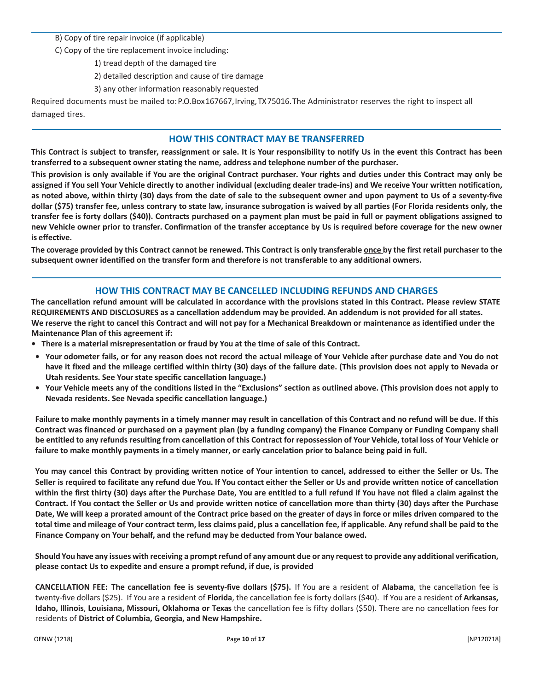B) Copy of tire repair invoice (if applicable)

C) Copy of the tire replacement invoice including:

1) tread depth of the damaged tire

2) detailed description and cause of tire damage

3) any other information reasonably requested

Required documents must be mailed to:P.O.Box167667,Irving,TX75016.The Administrator reserves the right to inspect all damaged tires.

# **HOW THIS CONTRACT MAY BE TRANSFERRED**

This Contract is subject to transfer, reassignment or sale. It is Your responsibility to notify Us in the event this Contract has been **transferred to a subsequent owner stating the name, address and telephone number of the purchaser.**

This provision is only available if You are the original Contract purchaser. Your rights and duties under this Contract may only be assigned if You sell Your Vehicle directly to another individual (excluding dealer trade-ins) and We receive Your written notification, as noted above, within thirty (30) days from the date of sale to the subsequent owner and upon payment to Us of a seventy-five dollar (\$75) transfer fee, unless contrary to state law, insurance subrogation is waived by all parties (For Florida residents only, the transfer fee is forty dollars (\$40)). Contracts purchased on a payment plan must be paid in full or payment obligations assigned to new Vehicle owner prior to transfer. Confirmation of the transfer acceptance by Us is required before coverage for the new owner **is effective.**

The coverage provided by this Contract cannot be renewed. This Contract is only transferable once by the first retail purchaser to the **subsequent owner identified on the transfer form and therefore is not transferable to any additional owners.**

# **HOW THIS CONTRACT MAY BE CANCELLED INCLUDING REFUNDS AND CHARGES**

The cancellation refund amount will be calculated in accordance with the provisions stated in this Contract. Please review STATE **REQUIREMENTS AND DISCLOSURES as a cancellation addendum may be provided. An addendum is not provided for all states. We reserve the right to cancel this Contract and will not pay for a Mechanical Breakdown or maintenance as identified under the Maintenance Plan of this agreement if:**

- **• There is a material misrepresentation or fraud by You at the time of sale of this Contract.**
- Your odometer fails, or for any reason does not record the actual mileage of Your Vehicle after purchase date and You do not have it fixed and the mileage certified within thirty (30) days of the failure date. (This provision does not apply to Nevada or **Utah residents. See Yourstate specific cancellation language.)**
- Your Vehicle meets any of the conditions listed in the "Exclusions" section as outlined above. (This provision does not apply to **Nevada residents. See Nevada specific cancellation language.)**

Failure to make monthly payments in a timely manner may result in cancellation of this Contract and no refund will be due. If this Contract was financed or purchased on a payment plan (by a funding company) the Finance Company or Funding Company shall be entitled to any refunds resulting from cancellation of this Contract for repossession of Your Vehicle, total loss of Your Vehicle or **failure to make monthly payments in a timely manner, or early cancelation prior to balance being paid in full.**

You may cancel this Contract by providing written notice of Your intention to cancel, addressed to either the Seller or Us. The Seller is required to facilitate any refund due You. If You contact either the Seller or Us and provide written notice of cancellation within the first thirty (30) days after the Purchase Date, You are entitled to a full refund if You have not filed a claim against the Contract. If You contact the Seller or Us and provide written notice of cancellation more than thirty (30) days after the Purchase Date, We will keep a prorated amount of the Contract price based on the greater of days in force or miles driven compared to the total time and mileage of Your contract term, less claims paid, plus a cancellation fee, if applicable. Any refund shall be paid to the **Finance Company on Your behalf, and the refund may be deducted from Your balance owed.**

Should You have any issues with receiving a prompt refund of any amount due or any request to provide any additional verification, **please contact Us to expedite and ensure a prompt refund, if due, is provided**

**CANCELLATION FEE: The cancellation fee is seventy-five dollars (\$75).** If You are a resident of **Alabama**, the cancellation fee is twenty-five dollars (\$25). If You are a resident of **Florida**, the cancellation fee is forty dollars (\$40). If You are a resident of **Arkansas, Idaho, Illinois**, **Louisiana, Missouri, Oklahoma or Texas** the cancellation fee is fifty dollars (\$50). There are no cancellation fees for residents of **District of Columbia, Georgia, and New Hampshire.**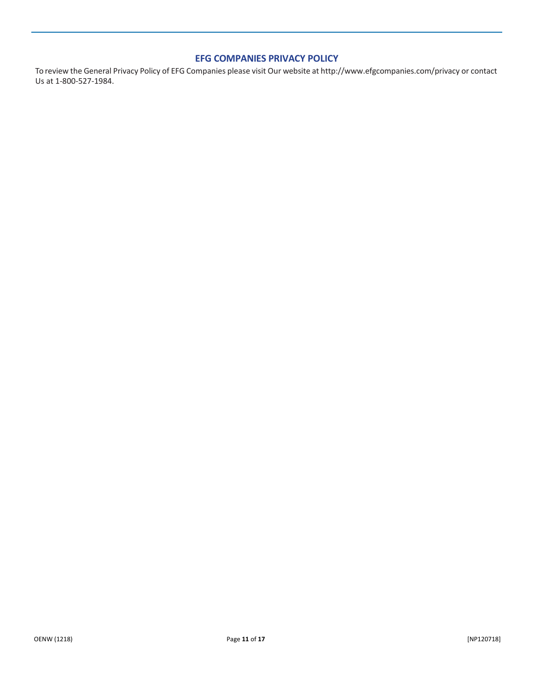# **EFG COMPANIES PRIVACY POLICY**

To review the General Privacy Policy of EFG Companies please visit Our website at <http://www.efgcompanies.com/privacy> or contact Us at 1-800-527-1984.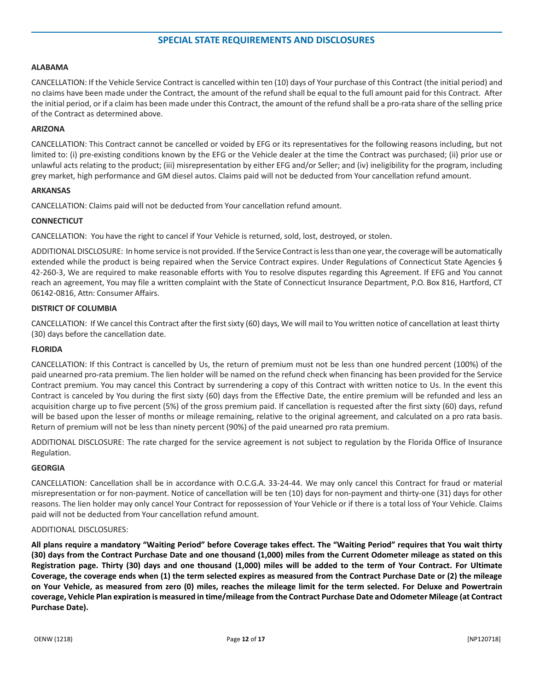#### **ALABAMA**

CANCELLATION: If the Vehicle Service Contract is cancelled within ten (10) days of Your purchase of this Contract (the initial period) and no claims have been made under the Contract, the amount of the refund shall be equal to the full amount paid for this Contract. After the initial period, or if a claim has been made under this Contract, the amount of the refund shall be a pro-rata share of the selling price of the Contract as determined above.

#### **ARIZONA**

CANCELLATION: This Contract cannot be cancelled or voided by EFG or its representatives for the following reasons including, but not limited to: (i) pre-existing conditions known by the EFG or the Vehicle dealer at the time the Contract was purchased; (ii) prior use or unlawful acts relating to the product; (iii) misrepresentation by either EFG and/or Seller; and (iv) ineligibility for the program, including grey market, high performance and GM diesel autos. Claims paid will not be deducted from Your cancellation refund amount.

#### **ARKANSAS**

CANCELLATION: Claims paid will not be deducted from Your cancellation refund amount.

#### **CONNECTICUT**

CANCELLATION: You have the right to cancel if Your Vehicle is returned, sold, lost, destroyed, or stolen.

ADDITIONAL DISCLOSURE: In home service is not provided. If the Service Contract is less than one year, the coverage will be automatically extended while the product is being repaired when the Service Contract expires. Under Regulations of Connecticut State Agencies § 42-260-3, We are required to make reasonable efforts with You to resolve disputes regarding this Agreement. If EFG and You cannot reach an agreement, You may file a written complaint with the State of Connecticut Insurance Department, P.O. Box 816, Hartford, CT 06142-0816, Attn: Consumer Affairs.

#### **DISTRICT OF COLUMBIA**

CANCELLATION: If We cancel this Contract after the firstsixty (60) days, We will mail to You written notice of cancellation at least thirty (30) days before the cancellation date.

#### **FLORIDA**

CANCELLATION: If this Contract is cancelled by Us, the return of premium must not be less than one hundred percent (100%) of the paid unearned pro-rata premium. The lien holder will be named on the refund check when financing has been provided for the Service Contract premium. You may cancel this Contract by surrendering a copy of this Contract with written notice to Us. In the event this Contract is canceled by You during the first sixty (60) days from the Effective Date, the entire premium will be refunded and less an acquisition charge up to five percent (5%) of the gross premium paid. If cancellation is requested after the first sixty (60) days, refund will be based upon the lesser of months or mileage remaining, relative to the original agreement, and calculated on a pro rata basis. Return of premium will not be less than ninety percent (90%) of the paid unearned pro rata premium.

ADDITIONAL DISCLOSURE: The rate charged for the service agreement is not subject to regulation by the Florida Office of Insurance Regulation.

#### **GEORGIA**

CANCELLATION: Cancellation shall be in accordance with O.C.G.A. 33-24-44. We may only cancel this Contract for fraud or material misrepresentation or for non-payment. Notice of cancellation will be ten (10) days for non-payment and thirty-one (31) days for other reasons. The lien holder may only cancel Your Contract for repossession of Your Vehicle or if there is a total loss of Your Vehicle. Claims paid will not be deducted from Your cancellation refund amount.

#### ADDITIONAL DISCLOSURES:

**All plans require a mandatory "Waiting Period" before Coverage takes effect. The "Waiting Period" requires that You wait thirty (30) days from the Contract Purchase Date and one thousand (1,000) miles from the Current Odometer mileage as stated on this Registration page. Thirty (30) days and one thousand (1,000) miles will be added to the term of Your Contract. For Ultimate Coverage, the coverage ends when (1) the term selected expires as measured from the Contract Purchase Date or (2) the mileage on Your Vehicle, as measured from zero (0) miles, reaches the mileage limit for the term selected. For Deluxe and Powertrain coverage, Vehicle Plan expiration is measured in time/mileage from the Contract Purchase Date and Odometer Mileage (at Contract Purchase Date).**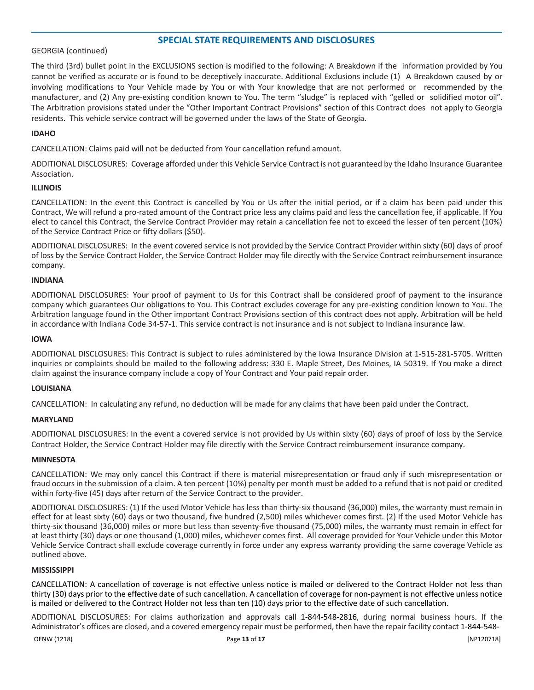#### GEORGIA (continued)

The third (3rd) bullet point in the EXCLUSIONS section is modified to the following: A Breakdown if the information provided by You cannot be verified as accurate or is found to be deceptively inaccurate. Additional Exclusions include (1) A Breakdown caused by or involving modifications to Your Vehicle made by You or with Your knowledge that are not performed or recommended by the manufacturer, and (2) Any pre-existing condition known to You. The term "sludge" is replaced with "gelled or solidified motor oil". The Arbitration provisions stated under the "Other Important Contract Provisions" section of this Contract does not apply to Georgia residents. This vehicle service contract will be governed under the laws of the State of Georgia.

#### **IDAHO**

CANCELLATION: Claims paid will not be deducted from Your cancellation refund amount.

ADDITIONAL DISCLOSURES: Coverage afforded under this Vehicle Service Contract is not guaranteed by the Idaho Insurance Guarantee Association.

#### **ILLINOIS**

CANCELLATION: In the event this Contract is cancelled by You or Us after the initial period, or if a claim has been paid under this Contract, We will refund a pro-rated amount of the Contract price less any claims paid and less the cancellation fee, if applicable. If You elect to cancel this Contract, the Service Contract Provider may retain a cancellation fee not to exceed the lesser of ten percent (10%) of the Service Contract Price or fifty dollars (\$50).

ADDITIONAL DISCLOSURES: In the event covered service is not provided by the Service Contract Provider within sixty (60) days of proof of loss by the Service Contract Holder, the Service Contract Holder may file directly with the Service Contract reimbursement insurance company.

#### **INDIANA**

ADDITIONAL DISCLOSURES: Your proof of payment to Us for this Contract shall be considered proof of payment to the insurance company which guarantees Our obligations to You. This Contract excludes coverage for any pre-existing condition known to You. The Arbitration language found in the Other important Contract Provisions section of this contract does not apply. Arbitration will be held in accordance with Indiana Code 34-57-1. This service contract is not insurance and is not subject to Indiana insurance law.

#### **IOWA**

ADDITIONAL DISCLOSURES: This Contract is subject to rules administered by the Iowa Insurance Division at 1-515-281-5705. Written inquiries or complaints should be mailed to the following address: 330 E. Maple Street, Des Moines, IA 50319. If You make a direct claim against the insurance company include a copy of Your Contract and Your paid repair order.

#### **LOUISIANA**

CANCELLATION: In calculating any refund, no deduction will be made for any claims that have been paid under the Contract.

#### **MARYLAND**

ADDITIONAL DISCLOSURES: In the event a covered service is not provided by Us within sixty (60) days of proof of loss by the Service Contract Holder, the Service Contract Holder may file directly with the Service Contract reimbursement insurance company.

#### **MINNESOTA**

CANCELLATION: We may only cancel this Contract if there is material misrepresentation or fraud only if such misrepresentation or fraud occursin the submission of a claim. A ten percent (10%) penalty per month must be added to a refund that is not paid or credited within forty-five (45) days after return of the Service Contract to the provider.

ADDITIONAL DISCLOSURES: (1) If the used Motor Vehicle has less than thirty-six thousand (36,000) miles, the warranty must remain in effect for at least sixty (60) days or two thousand, five hundred (2,500) miles whichever comes first. (2) If the used Motor Vehicle has thirty-six thousand (36,000) miles or more but less than seventy-five thousand (75,000) miles, the warranty must remain in effect for at least thirty (30) days or one thousand (1,000) miles, whichever comes first. All coverage provided for Your Vehicle under this Motor Vehicle Service Contract shall exclude coverage currently in force under any express warranty providing the same coverage Vehicle as outlined above.

#### **MISSISSIPPI**

CANCELLATION: A cancellation of coverage is not effective unless notice is mailed or delivered to the Contract Holder not less than thirty (30) days prior to the effective date of such cancellation. A cancellation of coverage for non-payment is not effective unless notice is mailed or delivered to the Contract Holder not less than ten (10) days prior to the effective date of such cancellation.

OENW (1218) Page **13** of **17** [NP120718] ADDITIONAL DISCLOSURES: For claims authorization and approvals call 1-844-548-2816, during normal business hours. If the Administrator's offices are closed, and a covered emergency repair must be performed, then have the repair facility contact 1-844-548-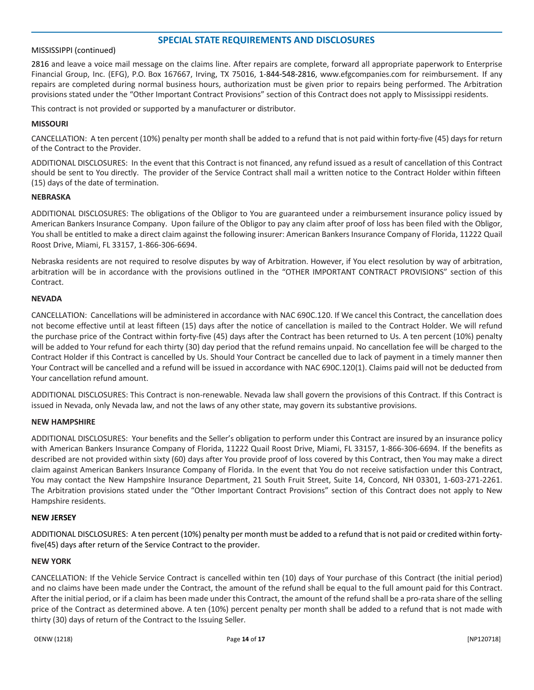#### MISSISSIPPI (continued)

2816 and leave a voice mail message on the claims line. After repairs are complete, forward all appropriate paperwork to Enterprise Financial Group, Inc. (EFG), P.O. Box 167667, Irving, TX 75016, 1-844-548-2816, [www.efgcompanies.com](http://www.efgcompanies.com/) for reimbursement. If any repairs are completed during normal business hours, authorization must be given prior to repairs being performed. The Arbitration provisions stated under the "Other Important Contract Provisions" section of this Contract does not apply to Mississippi residents.

This contract is not provided or supported by a manufacturer or distributor.

#### **MISSOURI**

CANCELLATION: A ten percent (10%) penalty per month shall be added to a refund that is not paid within forty-five (45) days for return of the Contract to the Provider.

ADDITIONAL DISCLOSURES: In the event that this Contract is not financed, any refund issued as a result of cancellation of this Contract should be sent to You directly. The provider of the Service Contract shall mail a written notice to the Contract Holder within fifteen (15) days of the date of termination.

#### **NEBRASKA**

ADDITIONAL DISCLOSURES: The obligations of the Obligor to You are guaranteed under a reimbursement insurance policy issued by American Bankers Insurance Company. Upon failure of the Obligor to pay any claim after proof of loss has been filed with the Obligor, You shall be entitled to make a direct claim against the following insurer: American Bankers Insurance Company of Florida, 11222 Quail Roost Drive, Miami, FL 33157, 1-866-306-6694.

Nebraska residents are not required to resolve disputes by way of Arbitration. However, if You elect resolution by way of arbitration, arbitration will be in accordance with the provisions outlined in the "OTHER IMPORTANT CONTRACT PROVISIONS" section of this Contract.

#### **NEVADA**

CANCELLATION: Cancellations will be administered in accordance with NAC 690C.120. If We cancel this Contract, the cancellation does not become effective until at least fifteen (15) days after the notice of cancellation is mailed to the Contract Holder. We will refund the purchase price of the Contract within forty-five (45) days after the Contract has been returned to Us. A ten percent (10%) penalty will be added to Your refund for each thirty (30) day period that the refund remains unpaid. No cancellation fee will be charged to the Contract Holder if this Contract is cancelled by Us. Should Your Contract be cancelled due to lack of payment in a timely manner then Your Contract will be cancelled and a refund will be issued in accordance with NAC 690C.120(1). Claims paid will not be deducted from Your cancellation refund amount.

ADDITIONAL DISCLOSURES: This Contract is non-renewable. Nevada law shall govern the provisions of this Contract. If this Contract is issued in Nevada, only Nevada law, and not the laws of any other state, may govern its substantive provisions.

#### **NEW HAMPSHIRE**

ADDITIONAL DISCLOSURES: Your benefits and the Seller's obligation to perform under this Contract are insured by an insurance policy with American Bankers Insurance Company of Florida, 11222 Quail Roost Drive, Miami, FL 33157, 1-866-306-6694. If the benefits as described are not provided within sixty (60) days after You provide proof of loss covered by this Contract, then You may make a direct claim against American Bankers Insurance Company of Florida. In the event that You do not receive satisfaction under this Contract, You may contact the New Hampshire Insurance Department, 21 South Fruit Street, Suite 14, Concord, NH 03301, 1-603-271-2261. The Arbitration provisions stated under the "Other Important Contract Provisions" section of this Contract does not apply to New Hampshire residents.

#### **NEW JERSEY**

ADDITIONAL DISCLOSURES: A ten percent (10%) penalty per month must be added to a refund that is not paid or credited within fortyfive(45) days after return of the Service Contract to the provider.

#### **NEW YORK**

CANCELLATION: If the Vehicle Service Contract is cancelled within ten (10) days of Your purchase of this Contract (the initial period) and no claims have been made under the Contract, the amount of the refund shall be equal to the full amount paid for this Contract. After the initial period, or if a claim has been made under this Contract, the amount of the refund shall be a pro-rata share of the selling price of the Contract as determined above. A ten (10%) percent penalty per month shall be added to a refund that is not made with thirty (30) days of return of the Contract to the Issuing Seller.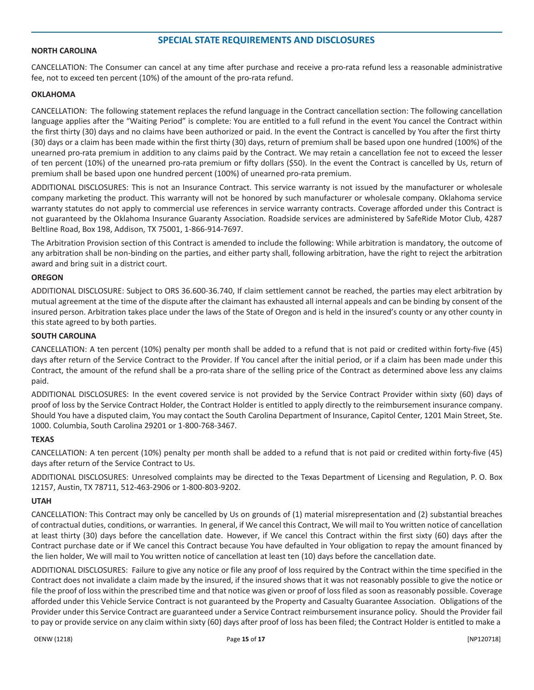#### **NORTH CAROLINA**

CANCELLATION: The Consumer can cancel at any time after purchase and receive a pro-rata refund less a reasonable administrative fee, not to exceed ten percent (10%) of the amount of the pro-rata refund.

#### **OKLAHOMA**

CANCELLATION: The following statement replaces the refund language in the Contract cancellation section: The following cancellation language applies after the "Waiting Period" is complete: You are entitled to a full refund in the event You cancel the Contract within the first thirty (30) days and no claims have been authorized or paid. In the event the Contract is cancelled by You after the first thirty (30) days or a claim has been made within the first thirty (30) days, return of premium shall be based upon one hundred (100%) of the unearned pro-rata premium in addition to any claims paid by the Contract. We may retain a cancellation fee not to exceed the lesser of ten percent (10%) of the unearned pro-rata premium or fifty dollars (\$50). In the event the Contract is cancelled by Us, return of premium shall be based upon one hundred percent (100%) of unearned pro-rata premium.

ADDITIONAL DISCLOSURES: This is not an Insurance Contract. This service warranty is not issued by the manufacturer or wholesale company marketing the product. This warranty will not be honored by such manufacturer or wholesale company. Oklahoma service warranty statutes do not apply to commercial use references in service warranty contracts. Coverage afforded under this Contract is not guaranteed by the Oklahoma Insurance Guaranty Association. Roadside services are administered by SafeRide Motor Club, 4287 Beltline Road, Box 198, Addison, TX 75001, 1-866-914-7697.

The Arbitration Provision section of this Contract is amended to include the following: While arbitration is mandatory, the outcome of any arbitration shall be non-binding on the parties, and either party shall, following arbitration, have the right to reject the arbitration award and bring suit in a district court.

#### **OREGON**

ADDITIONAL DISCLOSURE: Subject to ORS 36.600-36.740, If claim settlement cannot be reached, the parties may elect arbitration by mutual agreement at the time of the dispute after the claimant has exhausted all internal appeals and can be binding by consent of the insured person. Arbitration takes place under the laws of the State of Oregon and is held in the insured's county or any other county in this state agreed to by both parties.

#### **SOUTH CAROLINA**

CANCELLATION: A ten percent (10%) penalty per month shall be added to a refund that is not paid or credited within forty-five (45) days after return of the Service Contract to the Provider. If You cancel after the initial period, or if a claim has been made under this Contract, the amount of the refund shall be a pro-rata share of the selling price of the Contract as determined above less any claims paid.

ADDITIONAL DISCLOSURES: In the event covered service is not provided by the Service Contract Provider within sixty (60) days of proof of loss by the Service Contract Holder, the Contract Holder is entitled to apply directly to the reimbursement insurance company. Should You have a disputed claim, You may contact the South Carolina Department of Insurance, Capitol Center, 1201 Main Street, Ste. 1000. Columbia, South Carolina 29201 or 1-800-768-3467.

#### **TEXAS**

CANCELLATION: A ten percent (10%) penalty per month shall be added to a refund that is not paid or credited within forty-five (45) days after return of the Service Contract to Us.

ADDITIONAL DISCLOSURES: Unresolved complaints may be directed to the Texas Department of Licensing and Regulation, P. O. Box 12157, Austin, TX 78711, 512-463-2906 or 1-800-803-9202.

#### **UTAH**

CANCELLATION: This Contract may only be cancelled by Us on grounds of (1) material misrepresentation and (2) substantial breaches of contractual duties, conditions, or warranties. In general, if We cancel this Contract, We will mail to You written notice of cancellation at least thirty (30) days before the cancellation date. However, if We cancel this Contract within the first sixty (60) days after the Contract purchase date or if We cancel this Contract because You have defaulted in Your obligation to repay the amount financed by the lien holder, We will mail to You written notice of cancellation at least ten (10) days before the cancellation date.

ADDITIONAL DISCLOSURES: Failure to give any notice or file any proof of loss required by the Contract within the time specified in the Contract does not invalidate a claim made by the insured, if the insured shows that it was not reasonably possible to give the notice or file the proof of loss within the prescribed time and that notice was given or proof of loss filed as soon as reasonably possible. Coverage afforded under this Vehicle Service Contract is not guaranteed by the Property and Casualty Guarantee Association. Obligations of the Provider under this Service Contract are guaranteed under a Service Contract reimbursement insurance policy. Should the Provider fail to pay or provide service on any claim within sixty (60) days after proof of loss has been filed; the Contract Holder is entitled to make a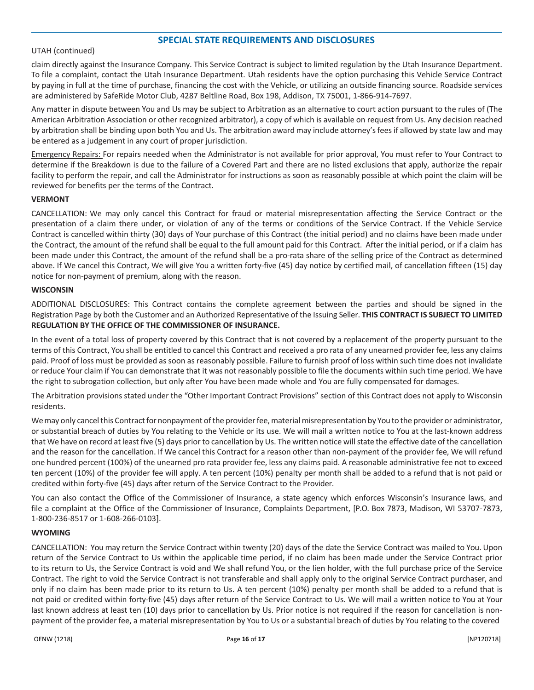#### UTAH (continued)

claim directly against the Insurance Company. This Service Contract is subject to limited regulation by the Utah Insurance Department. To file a complaint, contact the Utah Insurance Department. Utah residents have the option purchasing this Vehicle Service Contract by paying in full at the time of purchase, financing the cost with the Vehicle, or utilizing an outside financing source. Roadside services are administered by SafeRide Motor Club, 4287 Beltline Road, Box 198, Addison, TX 75001, 1-866-914-7697.

Any matter in dispute between You and Us may be subject to Arbitration as an alternative to court action pursuant to the rules of (The American Arbitration Association or other recognized arbitrator), a copy of which is available on request from Us. Any decision reached by arbitration shall be binding upon both You and Us. The arbitration award may include attorney'sfees if allowed by state law and may be entered as a judgement in any court of proper jurisdiction.

Emergency Repairs: For repairs needed when the Administrator is not available for prior approval, You must refer to Your Contract to determine if the Breakdown is due to the failure of a Covered Part and there are no listed exclusions that apply, authorize the repair facility to perform the repair, and call the Administrator for instructions as soon as reasonably possible at which point the claim will be reviewed for benefits per the terms of the Contract.

#### **VERMONT**

CANCELLATION: We may only cancel this Contract for fraud or material misrepresentation affecting the Service Contract or the presentation of a claim there under, or violation of any of the terms or conditions of the Service Contract. If the Vehicle Service Contract is cancelled within thirty (30) days of Your purchase of this Contract (the initial period) and no claims have been made under the Contract, the amount of the refund shall be equal to the full amount paid for this Contract. After the initial period, or if a claim has been made under this Contract, the amount of the refund shall be a pro-rata share of the selling price of the Contract as determined above. If We cancel this Contract, We will give You a written forty-five (45) day notice by certified mail, of cancellation fifteen (15) day notice for non-payment of premium, along with the reason.

#### **WISCONSIN**

ADDITIONAL DISCLOSURES: This Contract contains the complete agreement between the parties and should be signed in the Registration Page by both the Customer and an Authorized Representative of the Issuing Seller. **THIS CONTRACT IS SUBJECT TO LIMITED REGULATION BY THE OFFICE OF THE COMMISSIONER OF INSURANCE.**

In the event of a total loss of property covered by this Contract that is not covered by a replacement of the property pursuant to the terms of this Contract, You shall be entitled to cancel this Contract and received a pro rata of any unearned provider fee, less any claims paid. Proof of loss must be provided as soon as reasonably possible. Failure to furnish proof of loss within such time does not invalidate or reduce Your claim if You can demonstrate that it was not reasonably possible to file the documents within such time period. We have the right to subrogation collection, but only after You have been made whole and You are fully compensated for damages.

The Arbitration provisions stated under the "Other Important Contract Provisions" section of this Contract does not apply to Wisconsin residents.

We may only cancel this Contract for nonpayment of the provider fee, material misrepresentation by You to the provider or administrator, or substantial breach of duties by You relating to the Vehicle or its use. We will mail a written notice to You at the last-known address that We have on record at least five (5) days prior to cancellation by Us. The written notice willstate the effective date of the cancellation and the reason for the cancellation. If We cancel this Contract for a reason other than non-payment of the provider fee, We will refund one hundred percent (100%) of the unearned pro rata provider fee, less any claims paid. A reasonable administrative fee not to exceed ten percent (10%) of the provider fee will apply. A ten percent (10%) penalty per month shall be added to a refund that is not paid or credited within forty-five (45) days after return of the Service Contract to the Provider.

You can also contact the Office of the Commissioner of Insurance, a state agency which enforces Wisconsin's Insurance laws, and file a complaint at the Office of the Commissioner of Insurance, Complaints Department, [P.O. Box 7873, Madison, WI 53707-7873, 1-800-236-8517 or 1-608-266-0103].

#### **WYOMING**

CANCELLATION: You may return the Service Contract within twenty (20) days of the date the Service Contract was mailed to You. Upon return of the Service Contract to Us within the applicable time period, if no claim has been made under the Service Contract prior to its return to Us, the Service Contract is void and We shall refund You, or the lien holder, with the full purchase price of the Service Contract. The right to void the Service Contract is not transferable and shall apply only to the original Service Contract purchaser, and only if no claim has been made prior to its return to Us. A ten percent (10%) penalty per month shall be added to a refund that is not paid or credited within forty-five (45) days after return of the Service Contract to Us. We will mail a written notice to You at Your last known address at least ten (10) days prior to cancellation by Us. Prior notice is not required if the reason for cancellation is nonpayment of the provider fee, a material misrepresentation by You to Us or a substantial breach of duties by You relating to the covered